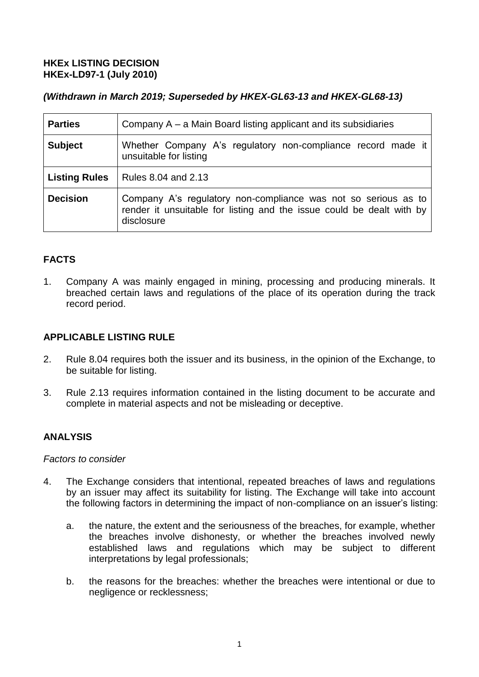## **HKEx LISTING DECISION HKEx-LD97-1 (July 2010)**

## *(Withdrawn in March 2019; Superseded by HKEX-GL63-13 and HKEX-GL68-13)*

| <b>Parties</b>       | Company $A - a$ Main Board listing applicant and its subsidiaries                                                                                     |
|----------------------|-------------------------------------------------------------------------------------------------------------------------------------------------------|
| <b>Subject</b>       | Whether Company A's regulatory non-compliance record made it<br>unsuitable for listing                                                                |
| <b>Listing Rules</b> | Rules 8.04 and 2.13                                                                                                                                   |
| <b>Decision</b>      | Company A's regulatory non-compliance was not so serious as to<br>render it unsuitable for listing and the issue could be dealt with by<br>disclosure |

# **FACTS**

1. Company A was mainly engaged in mining, processing and producing minerals. It breached certain laws and regulations of the place of its operation during the track record period.

## **APPLICABLE LISTING RULE**

- 2. Rule 8.04 requires both the issuer and its business, in the opinion of the Exchange, to be suitable for listing.
- 3. Rule 2.13 requires information contained in the listing document to be accurate and complete in material aspects and not be misleading or deceptive.

## **ANALYSIS**

#### *Factors to consider*

- 4. The Exchange considers that intentional, repeated breaches of laws and regulations by an issuer may affect its suitability for listing. The Exchange will take into account the following factors in determining the impact of non-compliance on an issuer's listing:
	- a. the nature, the extent and the seriousness of the breaches, for example, whether the breaches involve dishonesty, or whether the breaches involved newly established laws and regulations which may be subject to different interpretations by legal professionals;
	- b. the reasons for the breaches: whether the breaches were intentional or due to negligence or recklessness;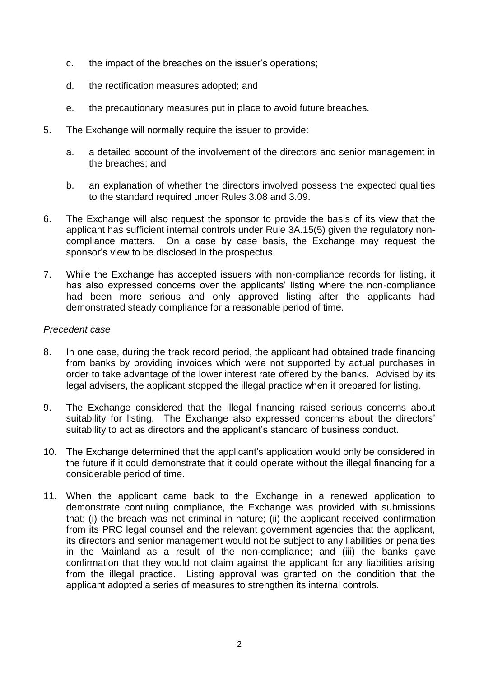- c. the impact of the breaches on the issuer's operations;
- d. the rectification measures adopted; and
- e. the precautionary measures put in place to avoid future breaches.
- 5. The Exchange will normally require the issuer to provide:
	- a. a detailed account of the involvement of the directors and senior management in the breaches; and
	- b. an explanation of whether the directors involved possess the expected qualities to the standard required under Rules 3.08 and 3.09.
- 6. The Exchange will also request the sponsor to provide the basis of its view that the applicant has sufficient internal controls under Rule 3A.15(5) given the regulatory noncompliance matters. On a case by case basis, the Exchange may request the sponsor's view to be disclosed in the prospectus.
- 7. While the Exchange has accepted issuers with non-compliance records for listing, it has also expressed concerns over the applicants' listing where the non-compliance had been more serious and only approved listing after the applicants had demonstrated steady compliance for a reasonable period of time.

#### *Precedent case*

- 8. In one case, during the track record period, the applicant had obtained trade financing from banks by providing invoices which were not supported by actual purchases in order to take advantage of the lower interest rate offered by the banks. Advised by its legal advisers, the applicant stopped the illegal practice when it prepared for listing.
- 9. The Exchange considered that the illegal financing raised serious concerns about suitability for listing. The Exchange also expressed concerns about the directors' suitability to act as directors and the applicant's standard of business conduct.
- 10. The Exchange determined that the applicant's application would only be considered in the future if it could demonstrate that it could operate without the illegal financing for a considerable period of time.
- 11. When the applicant came back to the Exchange in a renewed application to demonstrate continuing compliance, the Exchange was provided with submissions that: (i) the breach was not criminal in nature; (ii) the applicant received confirmation from its PRC legal counsel and the relevant government agencies that the applicant, its directors and senior management would not be subject to any liabilities or penalties in the Mainland as a result of the non-compliance; and (iii) the banks gave confirmation that they would not claim against the applicant for any liabilities arising from the illegal practice. Listing approval was granted on the condition that the applicant adopted a series of measures to strengthen its internal controls.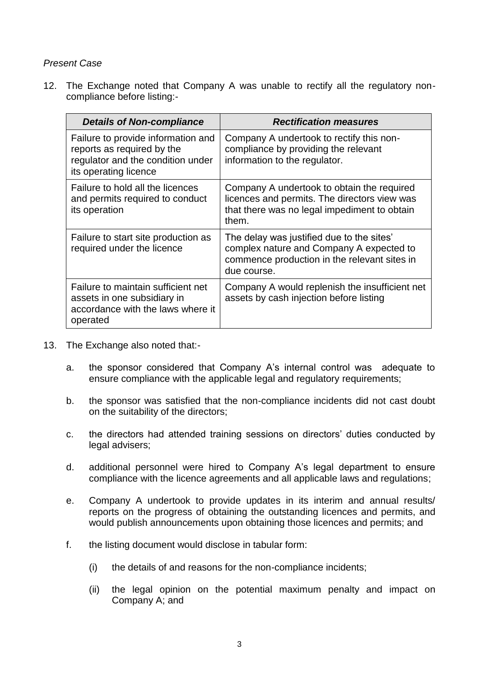#### *Present Case*

12. The Exchange noted that Company A was unable to rectify all the regulatory noncompliance before listing:-

| <b>Details of Non-compliance</b>                                                                                               | <b>Rectification measures</b>                                                                                                                        |
|--------------------------------------------------------------------------------------------------------------------------------|------------------------------------------------------------------------------------------------------------------------------------------------------|
| Failure to provide information and<br>reports as required by the<br>regulator and the condition under<br>its operating licence | Company A undertook to rectify this non-<br>compliance by providing the relevant<br>information to the regulator.                                    |
| Failure to hold all the licences<br>and permits required to conduct<br>its operation                                           | Company A undertook to obtain the required<br>licences and permits. The directors view was<br>that there was no legal impediment to obtain<br>them.  |
| Failure to start site production as<br>required under the licence                                                              | The delay was justified due to the sites'<br>complex nature and Company A expected to<br>commence production in the relevant sites in<br>due course. |
| Failure to maintain sufficient net<br>assets in one subsidiary in<br>accordance with the laws where it<br>operated             | Company A would replenish the insufficient net<br>assets by cash injection before listing                                                            |

- 13. The Exchange also noted that:
	- a. the sponsor considered that Company A's internal control was adequate to ensure compliance with the applicable legal and regulatory requirements;
	- b. the sponsor was satisfied that the non-compliance incidents did not cast doubt on the suitability of the directors;
	- c. the directors had attended training sessions on directors' duties conducted by legal advisers;
	- d. additional personnel were hired to Company A's legal department to ensure compliance with the licence agreements and all applicable laws and regulations;
	- e. Company A undertook to provide updates in its interim and annual results/ reports on the progress of obtaining the outstanding licences and permits, and would publish announcements upon obtaining those licences and permits; and
	- f. the listing document would disclose in tabular form:
		- (i) the details of and reasons for the non-compliance incidents;
		- (ii) the legal opinion on the potential maximum penalty and impact on Company A; and